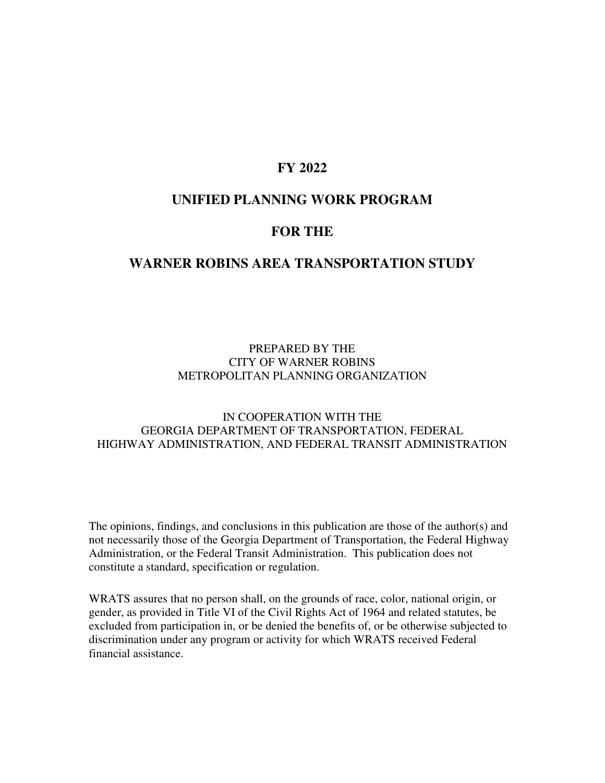### **FY 2022**

### **UNIFIED PLANNING WORK PROGRAM**

### **FOR THE**

### **WARNER ROBINS AREA TRANSPORTATION STUDY**

### PREPARED BY THE CITY OF WARNER ROBINS METROPOLITAN PLANNING ORGANIZATION

### IN COOPERATION WITH THE GEORGIA DEPARTMENT OF TRANSPORTATION, FEDERAL HIGHWAY ADMINISTRATION, AND FEDERAL TRANSIT ADMINISTRATION

The opinions, findings, and conclusions in this publication are those of the author(s) and not necessarily those of the Georgia Department of Transportation, the Federal Highway Administration, or the Federal Transit Administration. This publication does not constitute a standard, specification or regulation.

WRATS assures that no person shall, on the grounds of race, color, national origin, or gender, as provided in Title VI of the Civil Rights Act of 1964 and related statutes, be excluded from participation in, or be denied the benefits of, or be otherwise subjected to discrimination under any program or activity for which WRATS received Federal financial assistance.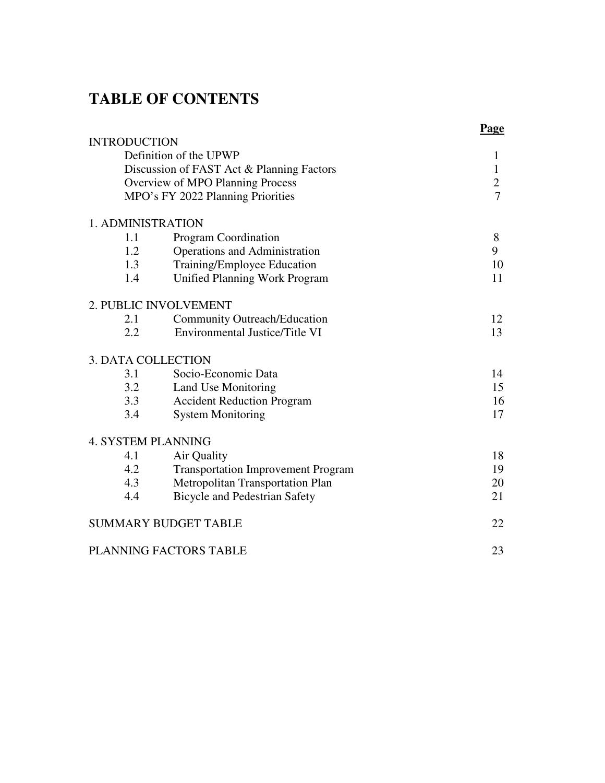## **TABLE OF CONTENTS**

|                           |                                           | Page                             |
|---------------------------|-------------------------------------------|----------------------------------|
| <b>INTRODUCTION</b>       |                                           |                                  |
|                           | Definition of the UPWP                    | $\mathbf{1}$                     |
|                           | Discussion of FAST Act & Planning Factors | $\mathbf{1}$                     |
|                           | Overview of MPO Planning Process          | $\overline{2}$<br>$\overline{7}$ |
|                           | MPO's FY 2022 Planning Priorities         |                                  |
| 1. ADMINISTRATION         |                                           |                                  |
| 1.1                       | Program Coordination                      | 8                                |
| 1.2                       | Operations and Administration             | 9                                |
| 1.3                       | Training/Employee Education               | 10                               |
| 1.4                       | Unified Planning Work Program             | 11                               |
|                           | 2. PUBLIC INVOLVEMENT                     |                                  |
| 2.1                       | <b>Community Outreach/Education</b>       | 12                               |
| 2.2                       | <b>Environmental Justice/Title VI</b>     | 13                               |
| <b>3. DATA COLLECTION</b> |                                           |                                  |
| 3.1                       | Socio-Economic Data                       | 14                               |
| 3.2                       | Land Use Monitoring                       | 15                               |
| 3.3                       | <b>Accident Reduction Program</b>         | 16                               |
| 3.4                       | <b>System Monitoring</b>                  | 17                               |
| <b>4. SYSTEM PLANNING</b> |                                           |                                  |
| 4.1                       | Air Quality                               | 18                               |
| 4.2                       | <b>Transportation Improvement Program</b> | 19                               |
| 4.3                       | Metropolitan Transportation Plan          | 20                               |
| 4.4                       | <b>Bicycle and Pedestrian Safety</b>      | 21                               |
|                           | <b>SUMMARY BUDGET TABLE</b>               | 22                               |
|                           | PLANNING FACTORS TABLE                    | 23                               |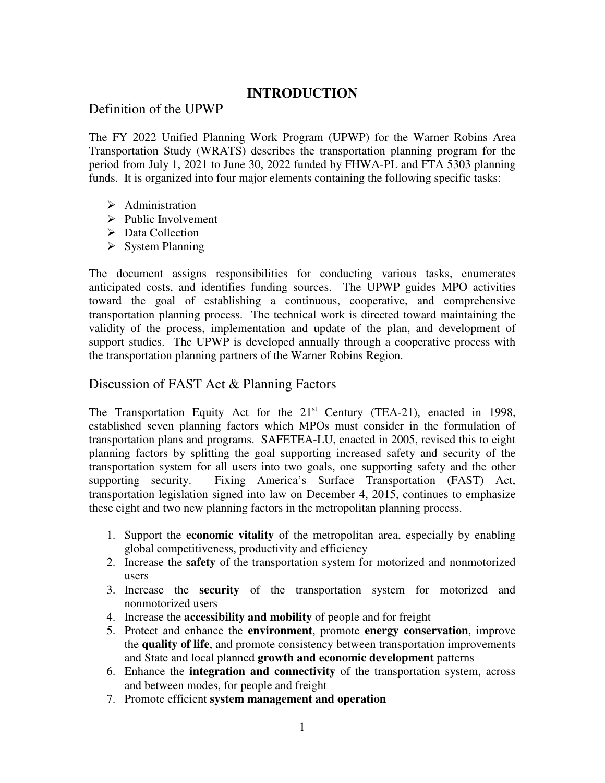## **INTRODUCTION**

## Definition of the UPWP

The FY 2022 Unified Planning Work Program (UPWP) for the Warner Robins Area Transportation Study (WRATS) describes the transportation planning program for the period from July 1, 2021 to June 30, 2022 funded by FHWA-PL and FTA 5303 planning funds. It is organized into four major elements containing the following specific tasks:

- $\triangleright$  Administration
- $\triangleright$  Public Involvement
- $\triangleright$  Data Collection
- $\triangleright$  System Planning

The document assigns responsibilities for conducting various tasks, enumerates anticipated costs, and identifies funding sources. The UPWP guides MPO activities toward the goal of establishing a continuous, cooperative, and comprehensive transportation planning process. The technical work is directed toward maintaining the validity of the process, implementation and update of the plan, and development of support studies. The UPWP is developed annually through a cooperative process with the transportation planning partners of the Warner Robins Region.

### Discussion of FAST Act & Planning Factors

The Transportation Equity Act for the  $21<sup>st</sup>$  Century (TEA-21), enacted in 1998, established seven planning factors which MPOs must consider in the formulation of transportation plans and programs. SAFETEA-LU, enacted in 2005, revised this to eight planning factors by splitting the goal supporting increased safety and security of the transportation system for all users into two goals, one supporting safety and the other supporting security. Fixing America's Surface Transportation (FAST) Act, transportation legislation signed into law on December 4, 2015, continues to emphasize these eight and two new planning factors in the metropolitan planning process.

- 1. Support the **economic vitality** of the metropolitan area, especially by enabling global competitiveness, productivity and efficiency
- 2. Increase the **safety** of the transportation system for motorized and nonmotorized users
- 3. Increase the **security** of the transportation system for motorized and nonmotorized users
- 4. Increase the **accessibility and mobility** of people and for freight
- 5. Protect and enhance the **environment**, promote **energy conservation**, improve the **quality of life**, and promote consistency between transportation improvements and State and local planned **growth and economic development** patterns
- 6. Enhance the **integration and connectivity** of the transportation system, across and between modes, for people and freight
- 7. Promote efficient **system management and operation**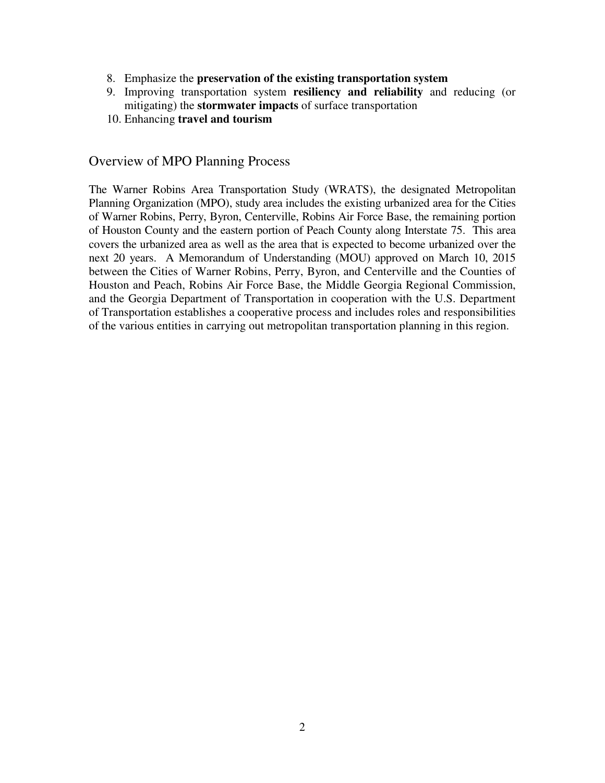- 8. Emphasize the **preservation of the existing transportation system**
- 9. Improving transportation system **resiliency and reliability** and reducing (or mitigating) the **stormwater impacts** of surface transportation
- 10. Enhancing **travel and tourism**

### Overview of MPO Planning Process

The Warner Robins Area Transportation Study (WRATS), the designated Metropolitan Planning Organization (MPO), study area includes the existing urbanized area for the Cities of Warner Robins, Perry, Byron, Centerville, Robins Air Force Base, the remaining portion of Houston County and the eastern portion of Peach County along Interstate 75. This area covers the urbanized area as well as the area that is expected to become urbanized over the next 20 years. A Memorandum of Understanding (MOU) approved on March 10, 2015 between the Cities of Warner Robins, Perry, Byron, and Centerville and the Counties of Houston and Peach, Robins Air Force Base, the Middle Georgia Regional Commission, and the Georgia Department of Transportation in cooperation with the U.S. Department of Transportation establishes a cooperative process and includes roles and responsibilities of the various entities in carrying out metropolitan transportation planning in this region.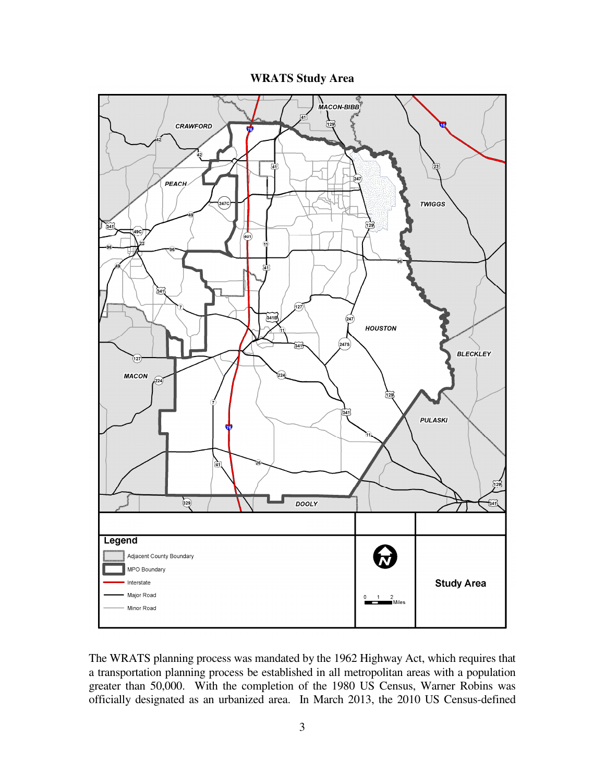**WRATS Study Area** 



The WRATS planning process was mandated by the 1962 Highway Act, which requires that a transportation planning process be established in all metropolitan areas with a population greater than 50,000. With the completion of the 1980 US Census, Warner Robins was officially designated as an urbanized area. In March 2013, the 2010 US Census-defined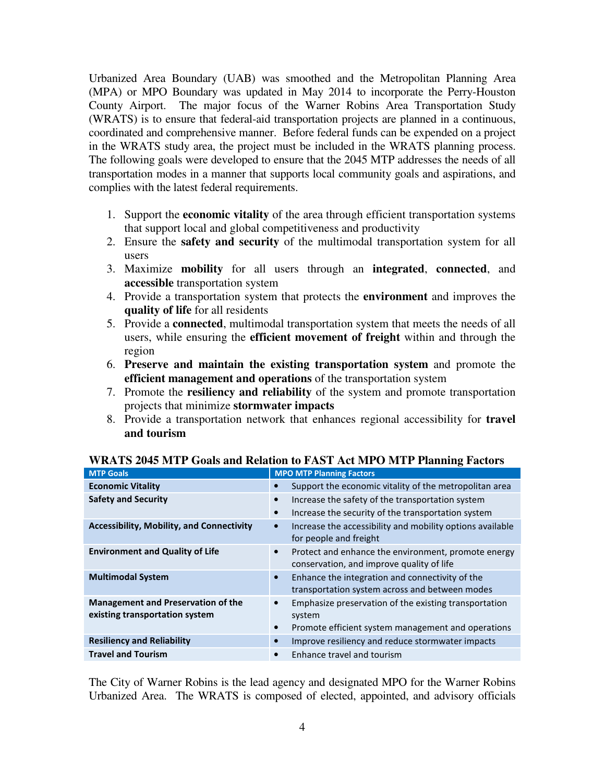Urbanized Area Boundary (UAB) was smoothed and the Metropolitan Planning Area (MPA) or MPO Boundary was updated in May 2014 to incorporate the Perry-Houston County Airport. The major focus of the Warner Robins Area Transportation Study (WRATS) is to ensure that federal-aid transportation projects are planned in a continuous, coordinated and comprehensive manner. Before federal funds can be expended on a project in the WRATS study area, the project must be included in the WRATS planning process. The following goals were developed to ensure that the 2045 MTP addresses the needs of all transportation modes in a manner that supports local community goals and aspirations, and complies with the latest federal requirements.

- 1. Support the **economic vitality** of the area through efficient transportation systems that support local and global competitiveness and productivity
- 2. Ensure the **safety and security** of the multimodal transportation system for all users
- 3. Maximize **mobility** for all users through an **integrated**, **connected**, and **accessible** transportation system
- 4. Provide a transportation system that protects the **environment** and improves the **quality of life** for all residents
- 5. Provide a **connected**, multimodal transportation system that meets the needs of all users, while ensuring the **efficient movement of freight** within and through the region
- 6. **Preserve and maintain the existing transportation system** and promote the **efficient management and operations** of the transportation system
- 7. Promote the **resiliency and reliability** of the system and promote transportation projects that minimize **stormwater impacts**
- 8. Provide a transportation network that enhances regional accessibility for **travel and tourism**

| <b>MTP Goals</b>                                                            | <b>MPO MTP Planning Factors</b>                                                                                                                 |  |
|-----------------------------------------------------------------------------|-------------------------------------------------------------------------------------------------------------------------------------------------|--|
| <b>Economic Vitality</b>                                                    | Support the economic vitality of the metropolitan area<br>$\bullet$                                                                             |  |
| <b>Safety and Security</b>                                                  | Increase the safety of the transportation system<br>$\bullet$<br>Increase the security of the transportation system<br>$\bullet$                |  |
| <b>Accessibility, Mobility, and Connectivity</b>                            | Increase the accessibility and mobility options available<br>for people and freight                                                             |  |
| <b>Environment and Quality of Life</b>                                      | Protect and enhance the environment, promote energy<br>$\bullet$<br>conservation, and improve quality of life                                   |  |
| <b>Multimodal System</b>                                                    | Enhance the integration and connectivity of the<br>$\bullet$<br>transportation system across and between modes                                  |  |
| <b>Management and Preservation of the</b><br>existing transportation system | Emphasize preservation of the existing transportation<br>$\bullet$<br>system<br>Promote efficient system management and operations<br>$\bullet$ |  |
| <b>Resiliency and Reliability</b>                                           | Improve resiliency and reduce stormwater impacts                                                                                                |  |
| <b>Travel and Tourism</b>                                                   | Enhance travel and tourism<br>$\bullet$                                                                                                         |  |
|                                                                             |                                                                                                                                                 |  |

**WRATS 2045 MTP Goals and Relation to FAST Act MPO MTP Planning Factors** 

The City of Warner Robins is the lead agency and designated MPO for the Warner Robins Urbanized Area. The WRATS is composed of elected, appointed, and advisory officials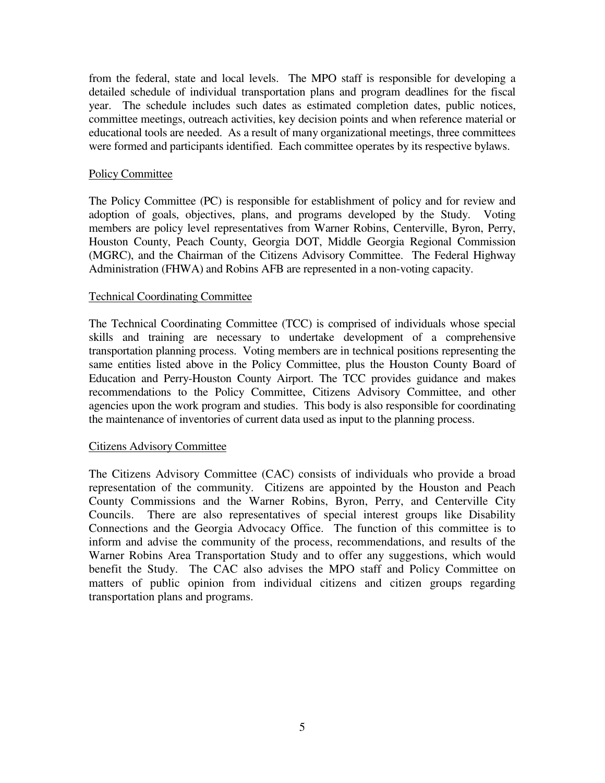from the federal, state and local levels. The MPO staff is responsible for developing a detailed schedule of individual transportation plans and program deadlines for the fiscal year. The schedule includes such dates as estimated completion dates, public notices, committee meetings, outreach activities, key decision points and when reference material or educational tools are needed. As a result of many organizational meetings, three committees were formed and participants identified. Each committee operates by its respective bylaws.

### Policy Committee

The Policy Committee (PC) is responsible for establishment of policy and for review and adoption of goals, objectives, plans, and programs developed by the Study. Voting members are policy level representatives from Warner Robins, Centerville, Byron, Perry, Houston County, Peach County, Georgia DOT, Middle Georgia Regional Commission (MGRC), and the Chairman of the Citizens Advisory Committee. The Federal Highway Administration (FHWA) and Robins AFB are represented in a non-voting capacity.

### Technical Coordinating Committee

The Technical Coordinating Committee (TCC) is comprised of individuals whose special skills and training are necessary to undertake development of a comprehensive transportation planning process. Voting members are in technical positions representing the same entities listed above in the Policy Committee, plus the Houston County Board of Education and Perry-Houston County Airport. The TCC provides guidance and makes recommendations to the Policy Committee, Citizens Advisory Committee, and other agencies upon the work program and studies. This body is also responsible for coordinating the maintenance of inventories of current data used as input to the planning process.

#### Citizens Advisory Committee

The Citizens Advisory Committee (CAC) consists of individuals who provide a broad representation of the community. Citizens are appointed by the Houston and Peach County Commissions and the Warner Robins, Byron, Perry, and Centerville City Councils. There are also representatives of special interest groups like Disability Connections and the Georgia Advocacy Office. The function of this committee is to inform and advise the community of the process, recommendations, and results of the Warner Robins Area Transportation Study and to offer any suggestions, which would benefit the Study. The CAC also advises the MPO staff and Policy Committee on matters of public opinion from individual citizens and citizen groups regarding transportation plans and programs.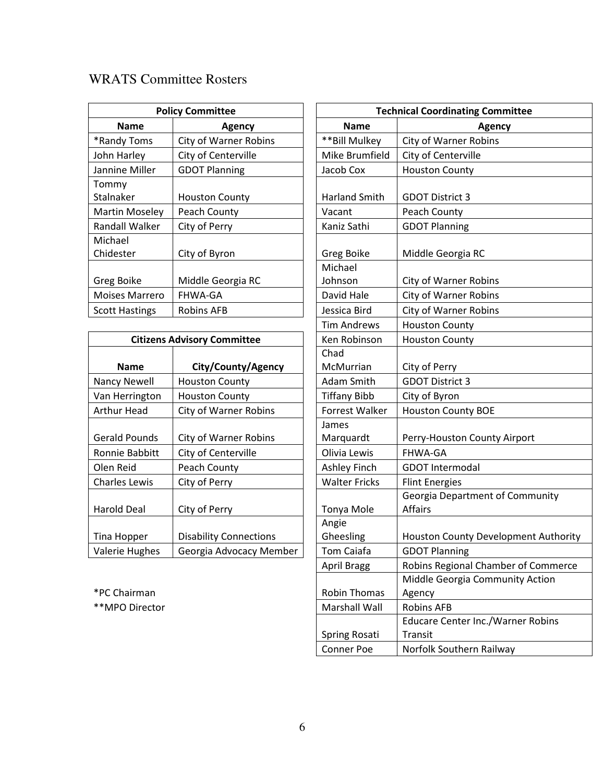## WRATS Committee Rosters

| <b>Policy Committee</b> |                              | <b>Technical Coordinating Com</b> |                              |
|-------------------------|------------------------------|-----------------------------------|------------------------------|
| <b>Name</b>             | Agency                       | <b>Name</b>                       | Agen                         |
| *Randy Toms             | <b>City of Warner Robins</b> | **Bill Mulkey                     | <b>City of Warner Robins</b> |
| John Harley             | City of Centerville          | Mike Brumfield                    | City of Centerville          |
| Jannine Miller          | <b>GDOT Planning</b>         | Jacob Cox                         | <b>Houston County</b>        |
| Tommy                   |                              |                                   |                              |
| Stalnaker               | <b>Houston County</b>        | <b>Harland Smith</b>              | <b>GDOT District 3</b>       |
| <b>Martin Moseley</b>   | Peach County                 | Vacant                            | Peach County                 |
| Randall Walker          | City of Perry                | Kaniz Sathi                       | <b>GDOT Planning</b>         |
| Michael                 |                              |                                   |                              |
| Chidester               | City of Byron                | Greg Boike                        | Middle Georgia RC            |
|                         |                              | Michael                           |                              |
| Greg Boike              | Middle Georgia RC            | Johnson                           | City of Warner Robins        |
| <b>Moises Marrero</b>   | <b>FHWA-GA</b>               | David Hale                        | <b>City of Warner Robins</b> |
| <b>Scott Hastings</b>   | <b>Robins AFB</b>            | Jessica Bird                      | <b>City of Warner Robins</b> |

| <b>Citizens Advisory Committee</b> |                               | Ken Robinson          | <b>Houston County</b>      |
|------------------------------------|-------------------------------|-----------------------|----------------------------|
|                                    |                               | Chad                  |                            |
| <b>Name</b>                        | City/County/Agency            | McMurrian             | City of Perry              |
| Nancy Newell                       | <b>Houston County</b>         | Adam Smith            | <b>GDOT District 3</b>     |
| Van Herrington                     | <b>Houston County</b>         | <b>Tiffany Bibb</b>   | City of Byron              |
| <b>Arthur Head</b>                 | <b>City of Warner Robins</b>  | <b>Forrest Walker</b> | <b>Houston County BOE</b>  |
|                                    |                               | James                 |                            |
| <b>Gerald Pounds</b>               | <b>City of Warner Robins</b>  | Marquardt             | Perry-Houston Count        |
| Ronnie Babbitt                     | City of Centerville           | Olivia Lewis          | FHWA-GA                    |
| Olen Reid                          | Peach County                  | Ashley Finch          | <b>GDOT Intermodal</b>     |
| <b>Charles Lewis</b>               | City of Perry                 | <b>Walter Fricks</b>  | <b>Flint Energies</b>      |
|                                    |                               |                       | Georgia Department         |
| <b>Harold Deal</b>                 | City of Perry                 | Tonya Mole            | Affairs                    |
|                                    |                               | Angie                 |                            |
| Tina Hopper                        | <b>Disability Connections</b> | Gheesling             | <b>Houston County Deve</b> |
| <b>Valerie Hughes</b>              | Georgia Advocacy Member       | Tom Caiafa            | <b>GDOT Planning</b>       |

 $*$ PC Chairman

\*\*MPO Director

| <b>Policy Committee</b> |                                    | <b>Technical Coordinating Committee</b> |                                          |  |
|-------------------------|------------------------------------|-----------------------------------------|------------------------------------------|--|
| <b>Name</b>             | <b>Agency</b>                      | <b>Name</b>                             | <b>Agency</b>                            |  |
| dy Toms                 | <b>City of Warner Robins</b>       | ** Bill Mulkey                          | <b>City of Warner Robins</b>             |  |
| Harley                  | City of Centerville                | Mike Brumfield                          | City of Centerville                      |  |
| ne Miller               | <b>GDOT Planning</b>               | Jacob Cox                               | <b>Houston County</b>                    |  |
| ny                      |                                    |                                         |                                          |  |
| aker                    | <b>Houston County</b>              | Harland Smith                           | <b>GDOT District 3</b>                   |  |
| in Moseley              | Peach County                       | Vacant                                  | Peach County                             |  |
| all Walker              | City of Perry                      | Kaniz Sathi                             | <b>GDOT Planning</b>                     |  |
| ael                     |                                    |                                         |                                          |  |
| ster!                   | City of Byron                      | Greg Boike                              | Middle Georgia RC                        |  |
|                         |                                    | Michael                                 |                                          |  |
| <b>Boike</b>            | Middle Georgia RC                  | Johnson                                 | City of Warner Robins                    |  |
| es Marrero              | FHWA-GA                            | David Hale                              | <b>City of Warner Robins</b>             |  |
| Hastings                | <b>Robins AFB</b>                  | Jessica Bird                            | City of Warner Robins                    |  |
|                         |                                    | <b>Tim Andrews</b>                      | <b>Houston County</b>                    |  |
|                         | <b>Citizens Advisory Committee</b> | Ken Robinson                            | <b>Houston County</b>                    |  |
|                         |                                    | Chad                                    |                                          |  |
| <b>Name</b>             | City/County/Agency                 | McMurrian                               | City of Perry                            |  |
| y Newell                | <b>Houston County</b>              | Adam Smith                              | <b>GDOT District 3</b>                   |  |
| lerrington              | <b>Houston County</b>              | <b>Tiffany Bibb</b>                     | City of Byron                            |  |
| <b>r</b> Head           | City of Warner Robins              | Forrest Walker                          | <b>Houston County BOE</b>                |  |
|                         |                                    | James                                   |                                          |  |
| d Pounds                | City of Warner Robins              | Marquardt                               | Perry-Houston County Airport             |  |
| ie Babbitt              | City of Centerville                | Olivia Lewis                            | FHWA-GA                                  |  |
| Reid                    | Peach County                       | Ashley Finch                            | <b>GDOT Intermodal</b>                   |  |
| es Lewis                | City of Perry                      | <b>Walter Fricks</b>                    | <b>Flint Energies</b>                    |  |
|                         |                                    |                                         | Georgia Department of Community          |  |
| d Deal                  | City of Perry                      | Tonya Mole                              | <b>Affairs</b>                           |  |
|                         |                                    | Angie                                   |                                          |  |
| Hopper                  | <b>Disability Connections</b>      | Gheesling                               | Houston County Development Authority     |  |
| ie Hughes               | Georgia Advocacy Member            | Tom Caiafa                              | <b>GDOT Planning</b>                     |  |
|                         |                                    | <b>April Bragg</b>                      | Robins Regional Chamber of Commerce      |  |
|                         |                                    |                                         | Middle Georgia Community Action          |  |
| hairman:                |                                    | Robin Thomas                            | Agency                                   |  |
| O Director              |                                    | Marshall Wall                           | <b>Robins AFB</b>                        |  |
|                         |                                    |                                         | <b>Educare Center Inc./Warner Robins</b> |  |
|                         |                                    | Spring Rosati                           | Transit                                  |  |
|                         |                                    | Conner Poe                              | Norfolk Southern Railway                 |  |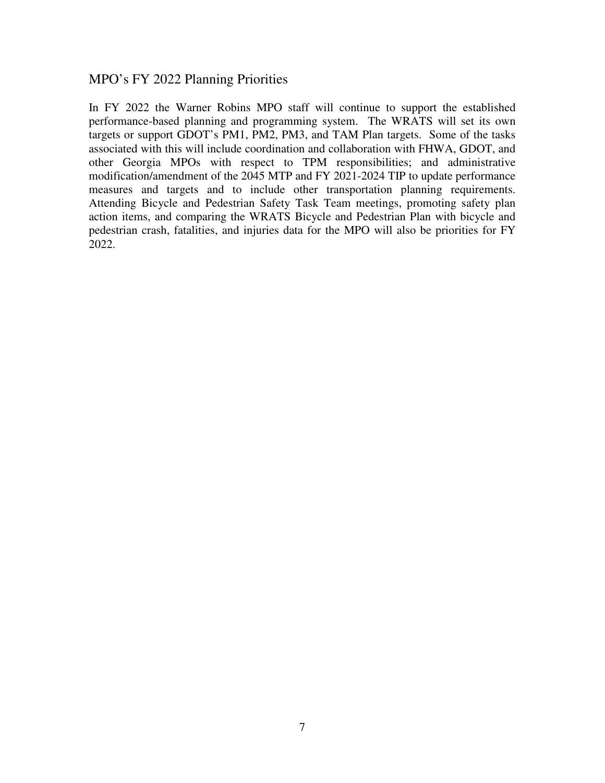### MPO's FY 2022 Planning Priorities

In FY 2022 the Warner Robins MPO staff will continue to support the established performance-based planning and programming system. The WRATS will set its own targets or support GDOT's PM1, PM2, PM3, and TAM Plan targets. Some of the tasks associated with this will include coordination and collaboration with FHWA, GDOT, and other Georgia MPOs with respect to TPM responsibilities; and administrative modification/amendment of the 2045 MTP and FY 2021-2024 TIP to update performance measures and targets and to include other transportation planning requirements. Attending Bicycle and Pedestrian Safety Task Team meetings, promoting safety plan action items, and comparing the WRATS Bicycle and Pedestrian Plan with bicycle and pedestrian crash, fatalities, and injuries data for the MPO will also be priorities for FY 2022.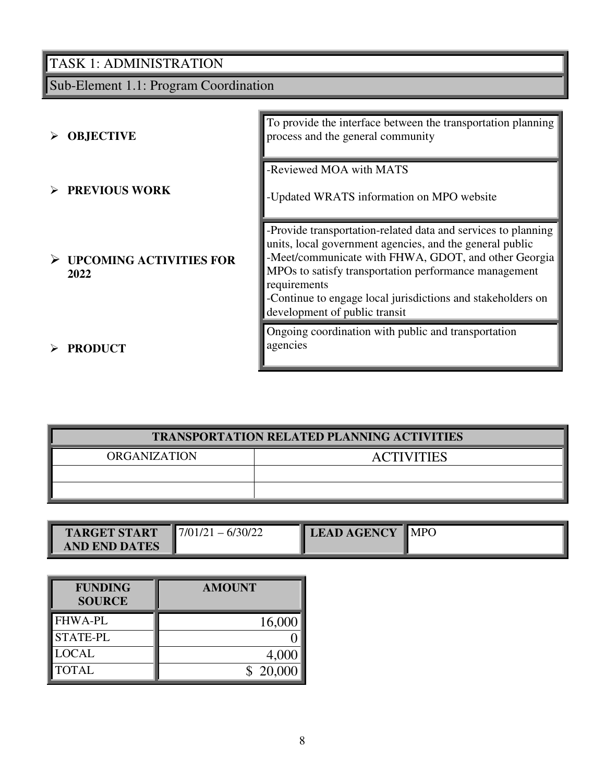# Sub-Element 1.1: Program Coordination

| <b>OBJECTIVE</b>                                 | To provide the interface between the transportation planning<br>process and the general community                                                                                                                                                                                                                                                          |
|--------------------------------------------------|------------------------------------------------------------------------------------------------------------------------------------------------------------------------------------------------------------------------------------------------------------------------------------------------------------------------------------------------------------|
| $\triangleright$ PREVIOUS WORK                   | -Reviewed MOA with MATS<br>-Updated WRATS information on MPO website                                                                                                                                                                                                                                                                                       |
| $\triangleright$ UPCOMING ACTIVITIES FOR<br>2022 | -Provide transportation-related data and services to planning<br>units, local government agencies, and the general public<br>-Meet/communicate with FHWA, GDOT, and other Georgia<br>MPOs to satisfy transportation performance management<br>requirements<br>-Continue to engage local jurisdictions and stakeholders on<br>development of public transit |
| <b>PRODUCT</b>                                   | Ongoing coordination with public and transportation<br>agencies                                                                                                                                                                                                                                                                                            |

| <b>TRANSPORTATION RELATED PLANNING ACTIVITIES</b> |                   |  |  |
|---------------------------------------------------|-------------------|--|--|
| <b>ORGANIZATION</b>                               | <b>ACTIVITIES</b> |  |  |
|                                                   |                   |  |  |
|                                                   |                   |  |  |

|                    | $\blacksquare$ MPO |
|--------------------|--------------------|
|                    |                    |
|                    |                    |
|                    |                    |
| 17/01/2<br>6/30/22 | <b>LEAD AGENCY</b> |

| <b>FUNDING</b><br><b>SOURCE</b> | <b>AMOUNT</b> |
|---------------------------------|---------------|
| <b>FHWA-PL</b>                  | 16,000        |
| <b>STATE-PL</b>                 |               |
| <b>LOCAL</b>                    | 4,000         |
| <b>TOTAL</b>                    | \$20,000      |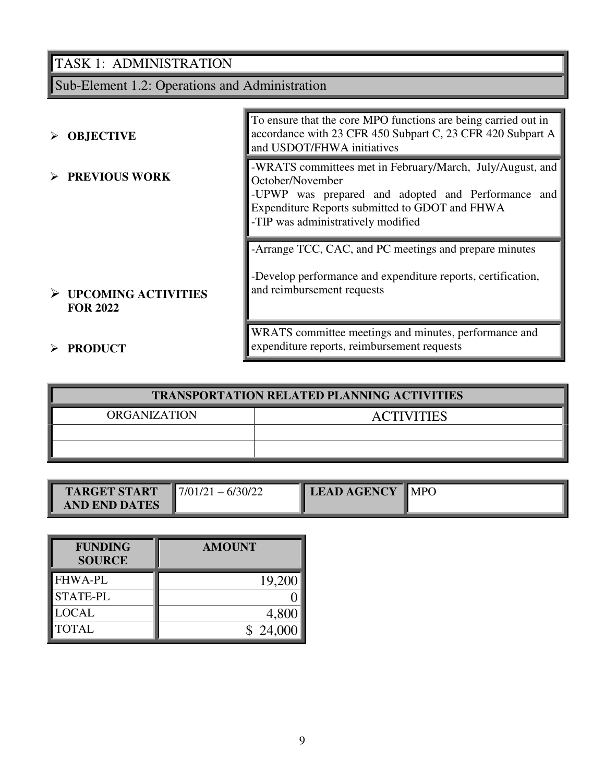Sub-Element 1.2: Operations and Administration

| $\triangleright$ OBJECTIVE                              | To ensure that the core MPO functions are being carried out in<br>accordance with 23 CFR 450 Subpart C, 23 CFR 420 Subpart A<br>and USDOT/FHWA initiatives                                                                  |
|---------------------------------------------------------|-----------------------------------------------------------------------------------------------------------------------------------------------------------------------------------------------------------------------------|
| $\triangleright$ PREVIOUS WORK                          | -WRATS committees met in February/March, July/August, and<br>October/November<br>-UPWP was prepared and adopted and Performance and<br>Expenditure Reports submitted to GDOT and FHWA<br>-TIP was administratively modified |
|                                                         | -Arrange TCC, CAC, and PC meetings and prepare minutes<br>-Develop performance and expenditure reports, certification,                                                                                                      |
| $\triangleright$ UPCOMING ACTIVITIES<br><b>FOR 2022</b> | and reimbursement requests                                                                                                                                                                                                  |
| $\triangleright$ PRODUCT                                | WRATS committee meetings and minutes, performance and<br>expenditure reports, reimbursement requests                                                                                                                        |

| <b>TRANSPORTATION RELATED PLANNING ACTIVITIES</b> |                   |  |  |  |
|---------------------------------------------------|-------------------|--|--|--|
| <b>ORGANIZATION</b>                               | <b>ACTIVITIES</b> |  |  |  |
|                                                   |                   |  |  |  |
|                                                   |                   |  |  |  |

| <b>TARGET START</b>  | $17/01/21 - 6/30/22$ | <b>LEAD AGENCY</b> | $\blacksquare$ MPO |
|----------------------|----------------------|--------------------|--------------------|
| <b>AND END DATES</b> |                      |                    |                    |

| <b>FUNDING</b><br><b>SOURCE</b> | <b>AMOUNT</b> |
|---------------------------------|---------------|
| <b>FHWA-PL</b>                  | 19,200        |
| <b>STATE-PL</b>                 |               |
| <b>LOCAL</b>                    | 4,800         |
| <b>TOTAL</b>                    | \$24,000      |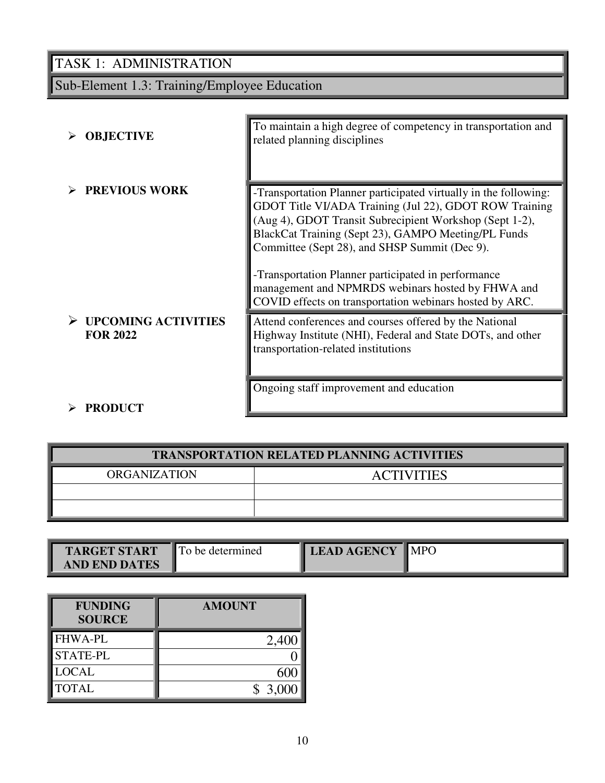# Sub-Element 1.3: Training/Employee Education

| <b>OBJECTIVE</b>                              | To maintain a high degree of competency in transportation and<br>related planning disciplines                                                                                                                                                                                                                                                                                                                                                                        |
|-----------------------------------------------|----------------------------------------------------------------------------------------------------------------------------------------------------------------------------------------------------------------------------------------------------------------------------------------------------------------------------------------------------------------------------------------------------------------------------------------------------------------------|
| <b>PREVIOUS WORK</b>                          | -Transportation Planner participated virtually in the following:<br>GDOT Title VI/ADA Training (Jul 22), GDOT ROW Training<br>(Aug 4), GDOT Transit Subrecipient Workshop (Sept 1-2),<br>BlackCat Training (Sept 23), GAMPO Meeting/PL Funds<br>Committee (Sept 28), and SHSP Summit (Dec 9).<br>-Transportation Planner participated in performance<br>management and NPMRDS webinars hosted by FHWA and<br>COVID effects on transportation webinars hosted by ARC. |
| <b>UPCOMING ACTIVITIES</b><br><b>FOR 2022</b> | Attend conferences and courses offered by the National<br>Highway Institute (NHI), Federal and State DOTs, and other<br>transportation-related institutions<br>Ongoing staff improvement and education                                                                                                                                                                                                                                                               |
| <b>PRODUCT</b>                                |                                                                                                                                                                                                                                                                                                                                                                                                                                                                      |

| <b>TRANSPORTATION RELATED PLANNING ACTIVITIES</b> |  |  |  |
|---------------------------------------------------|--|--|--|
| <b>ORGANIZATION</b><br><b>ACTIVITIES</b>          |  |  |  |
|                                                   |  |  |  |
|                                                   |  |  |  |

| <b>TARGET START</b>  | <b>To be determined</b> | <b>LEAD AGENCY</b> | $\blacksquare$ MPO |
|----------------------|-------------------------|--------------------|--------------------|
| <b>AND END DATES</b> |                         |                    |                    |

| <b>FUNDING</b><br><b>SOURCE</b> | <b>AMOUNT</b> |
|---------------------------------|---------------|
| <b>FHWA-PL</b>                  | 2,400         |
| <b>STATE-PL</b>                 |               |
| <b>LOCAL</b>                    | 600           |
| <b>TOTAL</b>                    | \$3,000       |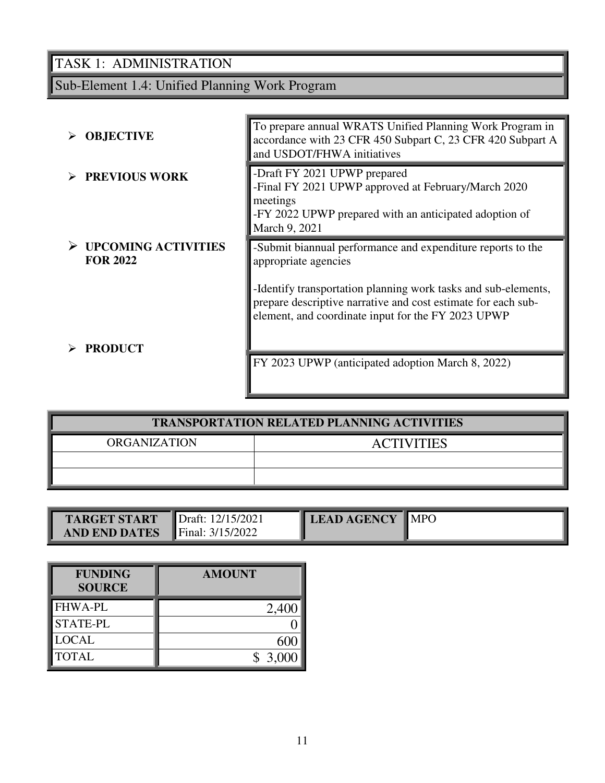## Sub-Element 1.4: Unified Planning Work Program

| <b>OBJECTIVE</b>                              | To prepare annual WRATS Unified Planning Work Program in<br>accordance with 23 CFR 450 Subpart C, 23 CFR 420 Subpart A<br>and USDOT/FHWA initiatives                                                                                                                         |
|-----------------------------------------------|------------------------------------------------------------------------------------------------------------------------------------------------------------------------------------------------------------------------------------------------------------------------------|
| <b>PREVIOUS WORK</b>                          | -Draft FY 2021 UPWP prepared<br>-Final FY 2021 UPWP approved at February/March 2020<br>meetings<br>-FY 2022 UPWP prepared with an anticipated adoption of<br>March 9, 2021                                                                                                   |
| <b>UPCOMING ACTIVITIES</b><br><b>FOR 2022</b> | -Submit biannual performance and expenditure reports to the<br>appropriate agencies<br>-Identify transportation planning work tasks and sub-elements,<br>prepare descriptive narrative and cost estimate for each sub-<br>element, and coordinate input for the FY 2023 UPWP |
| <b>PRODUCT</b>                                | FY 2023 UPWP (anticipated adoption March 8, 2022)                                                                                                                                                                                                                            |

| <b>TRANSPORTATION RELATED PLANNING ACTIVITIES</b> |  |  |  |  |  |
|---------------------------------------------------|--|--|--|--|--|
| <b>ORGANIZATION</b><br><b>ACTIVITIES</b>          |  |  |  |  |  |
|                                                   |  |  |  |  |  |
|                                                   |  |  |  |  |  |

| TARGET START         | Draft: 12/15/2021       | LEAD AGENCY MPO |  |
|----------------------|-------------------------|-----------------|--|
| <b>AND END DATES</b> | <b>Final:</b> 3/15/2022 |                 |  |

| <b>FUNDING</b><br><b>SOURCE</b> | <b>AMOUNT</b> |
|---------------------------------|---------------|
| <b>FHWA-PL</b>                  | 2,400         |
| <b>STATE-PL</b>                 |               |
| <b>LOCAL</b>                    | 600           |
| <b>TOTAL</b>                    | \$3,000       |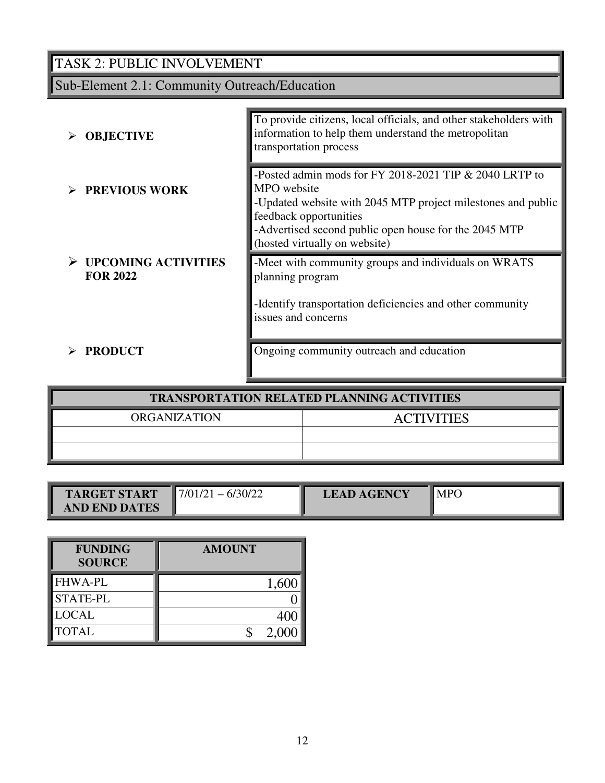## TASK 2: PUBLIC INVOLVEMENT

## Sub-Element 2.1: Community Outreach/Education

| <b>OBJECTIVE</b>                              | To provide citizens, local officials, and other stakeholders with<br>information to help them understand the metropolitan<br>transportation process                                                                                                       |
|-----------------------------------------------|-----------------------------------------------------------------------------------------------------------------------------------------------------------------------------------------------------------------------------------------------------------|
| <b>PREVIOUS WORK</b>                          | -Posted admin mods for FY 2018-2021 TIP & 2040 LRTP to<br>MPO website<br>-Updated website with 2045 MTP project milestones and public<br>feedback opportunities<br>-Advertised second public open house for the 2045 MTP<br>(hosted virtually on website) |
| <b>UPCOMING ACTIVITIES</b><br><b>FOR 2022</b> | -Meet with community groups and individuals on WRATS<br>planning program<br>-Identify transportation deficiencies and other community<br>issues and concerns                                                                                              |
| <b>PRODUCT</b>                                | Ongoing community outreach and education                                                                                                                                                                                                                  |

| <b>TRANSPORTATION RELATED PLANNING ACTIVITIES</b> |  |  |  |  |
|---------------------------------------------------|--|--|--|--|
| <b>ORGANIZATION</b><br><b>ACTIVITIES</b>          |  |  |  |  |
|                                                   |  |  |  |  |
|                                                   |  |  |  |  |

| <b>TARGET START</b>  | 6/30/22<br>$\blacksquare$ 7/01/21 | <b>LEAD AGENCY</b> | <b>MPC</b> |
|----------------------|-----------------------------------|--------------------|------------|
|                      |                                   |                    |            |
| <b>AND END DATES</b> |                                   |                    |            |

| <b>FUNDING</b><br><b>SOURCE</b> | <b>AMOUNT</b> |
|---------------------------------|---------------|
| <b>FHWA-PL</b>                  | 1,600         |
| <b>STATE-PL</b>                 |               |
| <b>LOCAL</b>                    |               |
| <b>TOTAL</b>                    | 2.00          |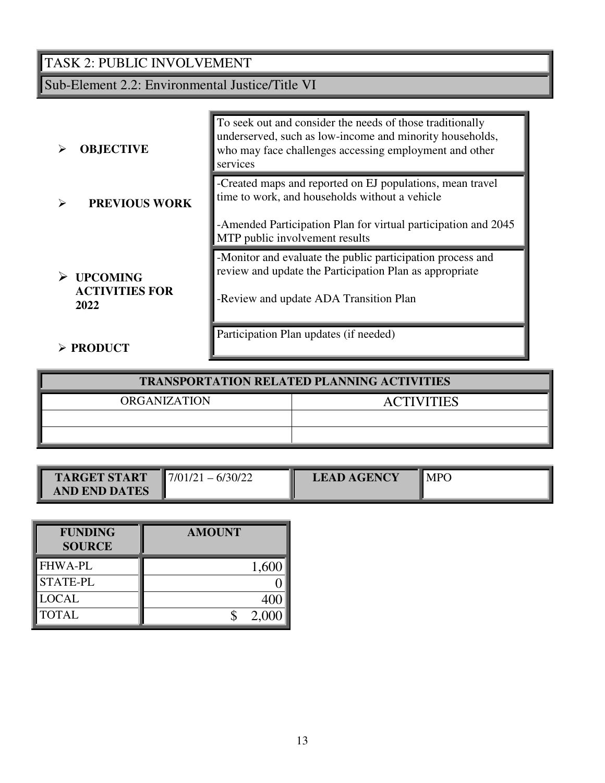## TASK 2: PUBLIC INVOLVEMENT

Sub-Element 2.2: Environmental Justice/Title VI

| <b>OBJECTIVE</b>                                 | To seek out and consider the needs of those traditionally<br>underserved, such as low-income and minority households,<br>who may face challenges accessing employment and other<br>services                     |
|--------------------------------------------------|-----------------------------------------------------------------------------------------------------------------------------------------------------------------------------------------------------------------|
| <b>PREVIOUS WORK</b>                             | -Created maps and reported on EJ populations, mean travel<br>time to work, and households without a vehicle<br>-Amended Participation Plan for virtual participation and 2045<br>MTP public involvement results |
| <b>UPCOMING</b><br><b>ACTIVITIES FOR</b><br>2022 | -Monitor and evaluate the public participation process and<br>review and update the Participation Plan as appropriate<br>-Review and update ADA Transition Plan                                                 |
| $\triangleright$ PRODUCT                         | Participation Plan updates (if needed)                                                                                                                                                                          |

| <b>TRANSPORTATION RELATED PLANNING ACTIVITIES</b> |                   |  |
|---------------------------------------------------|-------------------|--|
| <b>ORGANIZATION</b>                               | <b>ACTIVITIES</b> |  |
|                                                   |                   |  |
|                                                   |                   |  |

| <b>TARGET START</b>  | $-6/30/22$<br>$\blacksquare$ 7/01/2. | <b>LEAD AGENCY</b> | <b>MPC</b> |
|----------------------|--------------------------------------|--------------------|------------|
| <b>AND END DATES</b> |                                      |                    |            |

| <b>FUNDING</b><br><b>SOURCE</b> | <b>AMOUNT</b> |
|---------------------------------|---------------|
| <b>FHWA-PL</b>                  | 1,600         |
| <b>STATE-PL</b>                 |               |
| <b>LOCAL</b>                    |               |
| <b>TOTAL</b>                    | 2,000         |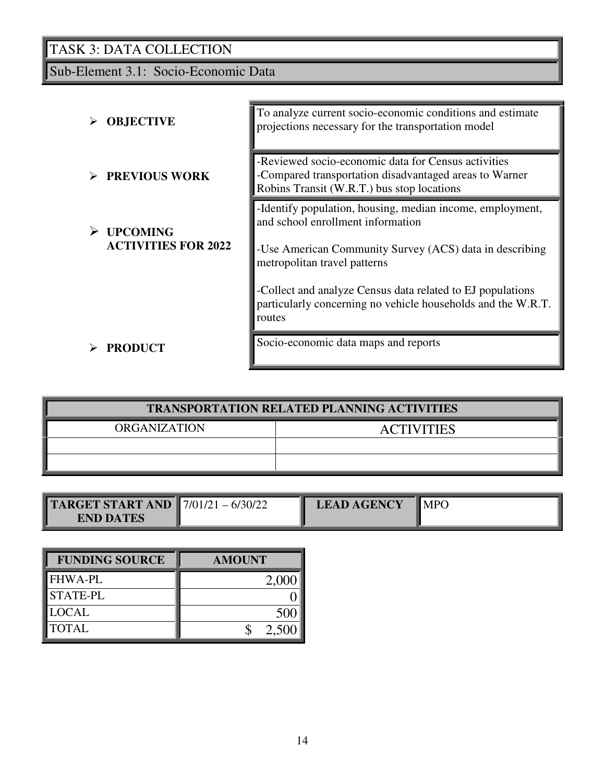Sub-Element 3.1: Socio-Economic Data

| <b>OBJECTIVE</b>                              | To analyze current socio-economic conditions and estimate<br>projections necessary for the transportation model                                                                           |
|-----------------------------------------------|-------------------------------------------------------------------------------------------------------------------------------------------------------------------------------------------|
| <b>PREVIOUS WORK</b>                          | -Reviewed socio-economic data for Census activities<br>-Compared transportation disadvantaged areas to Warner<br>Robins Transit (W.R.T.) bus stop locations                               |
| <b>UPCOMING</b><br><b>ACTIVITIES FOR 2022</b> | -Identify population, housing, median income, employment,<br>and school enrollment information<br>-Use American Community Survey (ACS) data in describing<br>metropolitan travel patterns |
|                                               | -Collect and analyze Census data related to EJ populations<br>particularly concerning no vehicle households and the W.R.T.<br>routes                                                      |
| <b>PRODUCT</b>                                | Socio-economic data maps and reports                                                                                                                                                      |

| <b>TRANSPORTATION RELATED PLANNING ACTIVITIES</b> |                   |  |
|---------------------------------------------------|-------------------|--|
| ORGANIZATION                                      | <b>ACTIVITIES</b> |  |
|                                                   |                   |  |
|                                                   |                   |  |

| <b>TARGET START AND </b> 7/01/21 - 6/30/22 | <b>LEAD AGENCY</b> | $\blacksquare$ MPO |
|--------------------------------------------|--------------------|--------------------|
| <b>END DATES</b>                           |                    |                    |

| <b>FUNDING SOURCE</b> | <b>AMOUNT</b> |
|-----------------------|---------------|
| <b>FHWA-PL</b>        | 2,00          |
| <b>STATE-PL</b>       |               |
| <b>LOCAL</b>          | 50            |
| <b>TOTAL</b>          | 2,500         |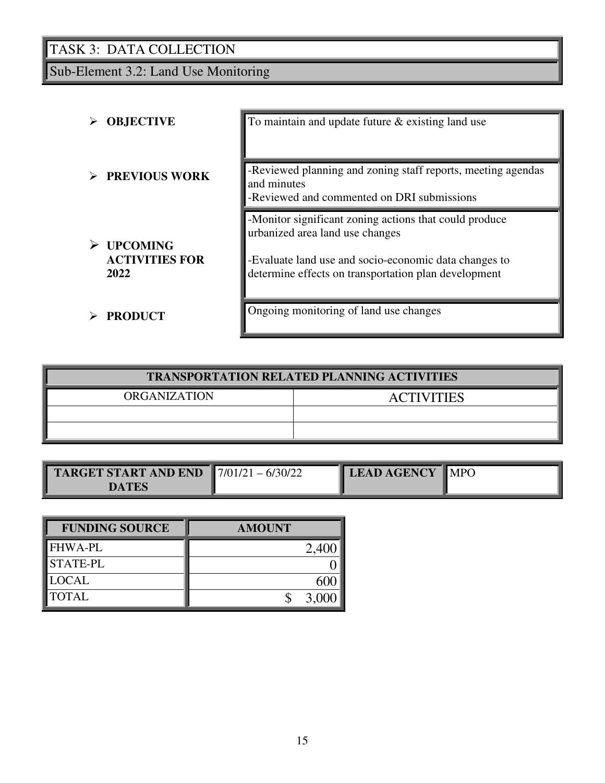Sub-Element 3.2: Land Use Monitoring

| <b>OBJECTIVE</b>                                 | To maintain and update future $\&$ existing land use                                                                                                                                                       |
|--------------------------------------------------|------------------------------------------------------------------------------------------------------------------------------------------------------------------------------------------------------------|
| <b>PREVIOUS WORK</b>                             | -Reviewed planning and zoning staff reports, meeting agendas<br>and minutes<br>-Reviewed and commented on DRI submissions                                                                                  |
| <b>UPCOMING</b><br><b>ACTIVITIES FOR</b><br>2022 | -Monitor significant zoning actions that could produce<br>urbanized area land use changes<br>-Evaluate land use and socio-economic data changes to<br>determine effects on transportation plan development |
| <b>PRODUCT</b>                                   | Ongoing monitoring of land use changes                                                                                                                                                                     |

| <b>TRANSPORTATION RELATED PLANNING ACTIVITIES</b> |                   |  |
|---------------------------------------------------|-------------------|--|
| ORGANIZATION                                      | <b>ACTIVITIES</b> |  |
|                                                   |                   |  |
|                                                   |                   |  |

| <b>TARGET START AND END</b><br><b>DATES</b> | $17/01/21 - 6/30/22$ | <b>LEAD AGENCY</b> | $\blacksquare$ MPO |
|---------------------------------------------|----------------------|--------------------|--------------------|
|---------------------------------------------|----------------------|--------------------|--------------------|

| <b>FUNDING SOURCE</b> | <b>AMOUNT</b> |
|-----------------------|---------------|
| <b>FHWA-PL</b>        |               |
| STATE-PL              |               |
| <b>LOCAL</b>          |               |
| <b>TOTAL</b>          |               |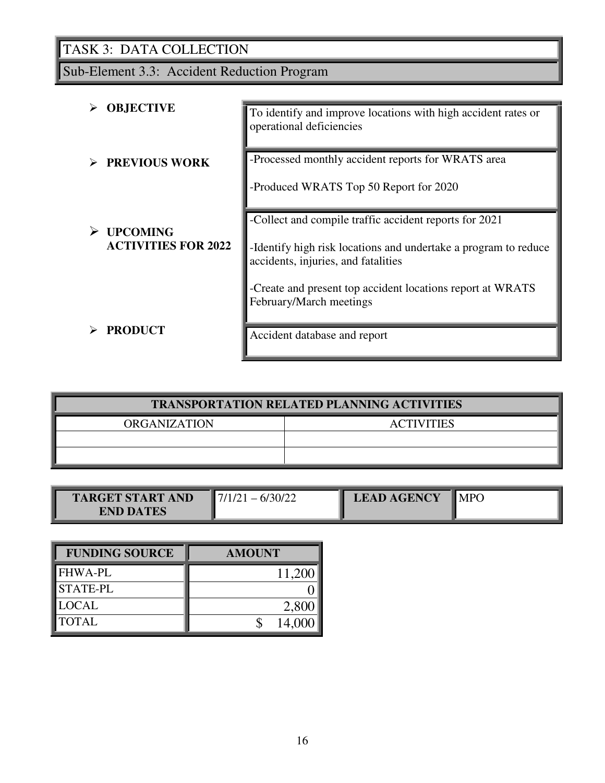Sub-Element 3.3: Accident Reduction Program

| <b>OBJECTIVE</b>                              | To identify and improve locations with high accident rates or<br>operational deficiencies                                                                                                                                      |
|-----------------------------------------------|--------------------------------------------------------------------------------------------------------------------------------------------------------------------------------------------------------------------------------|
| <b>PREVIOUS WORK</b>                          | -Processed monthly accident reports for WRATS area<br>-Produced WRATS Top 50 Report for 2020                                                                                                                                   |
| <b>UPCOMING</b><br><b>ACTIVITIES FOR 2022</b> | -Collect and compile traffic accident reports for 2021<br>-Identify high risk locations and undertake a program to reduce<br>accidents, injuries, and fatalities<br>-Create and present top accident locations report at WRATS |
| <b>PRODUCT</b>                                | February/March meetings<br>Accident database and report                                                                                                                                                                        |

| <b>TRANSPORTATION RELATED PLANNING ACTIVITIES</b> |                   |  |  |
|---------------------------------------------------|-------------------|--|--|
| <b>ORGANIZATION</b>                               | <b>ACTIVITIES</b> |  |  |
|                                                   |                   |  |  |
|                                                   |                   |  |  |

| <b>START AND</b><br>$'$ A R $'$ | IJ | <b>AGENCY</b> | MP6 |
|---------------------------------|----|---------------|-----|
| <b>END DATES</b>                |    |               |     |

| <b>FUNDING SOURCE</b> | <b>AMOUNT</b> |
|-----------------------|---------------|
| <b>FHWA-PL</b>        | 11,200        |
| <b>STATE-PL</b>       |               |
| <b>LOCAL</b>          | 2,800         |
| <b>TOTAL</b>          | 14,000        |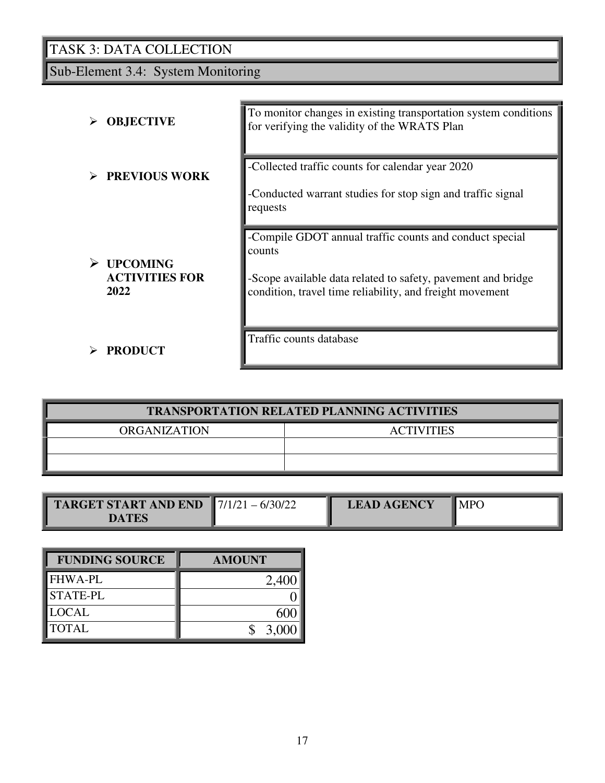Sub-Element 3.4: System Monitoring

| <b>OBJECTIVE</b>                                      | To monitor changes in existing transportation system conditions<br>for verifying the validity of the WRATS Plan                                                                               |
|-------------------------------------------------------|-----------------------------------------------------------------------------------------------------------------------------------------------------------------------------------------------|
| <b>PREVIOUS WORK</b>                                  | -Collected traffic counts for calendar year 2020<br>-Conducted warrant studies for stop sign and traffic signal<br>requests                                                                   |
| <b>UPCOMING</b><br>➤<br><b>ACTIVITIES FOR</b><br>2022 | -Compile GDOT annual traffic counts and conduct special<br>counts<br>-Scope available data related to safety, pavement and bridge<br>condition, travel time reliability, and freight movement |
| <b>PRODUCT</b>                                        | Traffic counts database                                                                                                                                                                       |

| <b>TRANSPORTATION RELATED PLANNING ACTIVITIES</b> |                   |  |  |
|---------------------------------------------------|-------------------|--|--|
| <b>ORGANIZATION</b>                               | <b>ACTIVITIES</b> |  |  |
|                                                   |                   |  |  |
|                                                   |                   |  |  |

| <b>TARGET START AND END</b> $\left  \frac{7}{12}\right  = \frac{6}{30/22}$ | <b>LEAD AGENCY</b> | MP <sub>(</sub> |
|----------------------------------------------------------------------------|--------------------|-----------------|
| <b>DATES</b>                                                               |                    |                 |

| <b>FUNDING SOURCE</b> | <b>AMOUNT</b> |
|-----------------------|---------------|
| <b>FHWA-PL</b>        | 2,400         |
| <b>STATE-PL</b>       |               |
| <b>LOCAL</b>          |               |
| <b>TOTAL</b>          | 3,000         |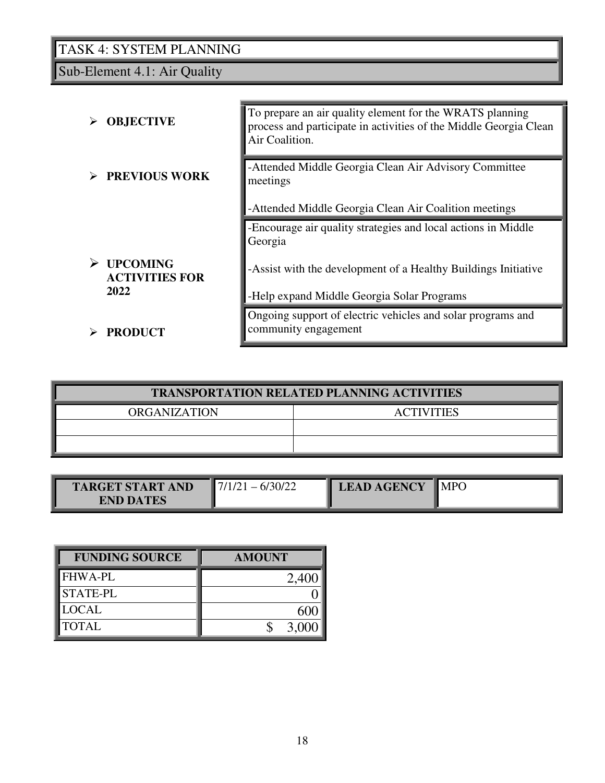Sub-Element 4.1: Air Quality

| <b>OBJECTIVE</b>                         | To prepare an air quality element for the WRATS planning<br>process and participate in activities of the Middle Georgia Clean<br>Air Coalition. |
|------------------------------------------|-------------------------------------------------------------------------------------------------------------------------------------------------|
| <b>PREVIOUS WORK</b>                     | -Attended Middle Georgia Clean Air Advisory Committee<br>meetings                                                                               |
|                                          | -Attended Middle Georgia Clean Air Coalition meetings                                                                                           |
|                                          | -Encourage air quality strategies and local actions in Middle<br>Georgia                                                                        |
| <b>UPCOMING</b><br><b>ACTIVITIES FOR</b> | -Assist with the development of a Healthy Buildings Initiative                                                                                  |
| 2022                                     | -Help expand Middle Georgia Solar Programs                                                                                                      |
| <b>PRODUCT</b>                           | Ongoing support of electric vehicles and solar programs and<br>community engagement                                                             |
|                                          |                                                                                                                                                 |

| <b>TRANSPORTATION RELATED PLANNING ACTIVITIES</b> |  |  |  |
|---------------------------------------------------|--|--|--|
| <b>ACTIVITIES</b>                                 |  |  |  |
|                                                   |  |  |  |
|                                                   |  |  |  |
|                                                   |  |  |  |

| <b>TARGET START AND</b><br>$\mathsf{D}'$<br>$\overline{\phantom{0}}$<br><b>END DATES</b> | <b>LEAD AGENCY</b> | $\blacksquare$ MPO |
|------------------------------------------------------------------------------------------|--------------------|--------------------|
|------------------------------------------------------------------------------------------|--------------------|--------------------|

| <b>FUNDING SOURCE</b> | <b>AMOUNT</b> |
|-----------------------|---------------|
| <b>FHWA-PL</b>        |               |
| <b>STATE-PL</b>       |               |
| <b>LOCAL</b>          |               |
| <b>TOTAL</b>          | 3.00          |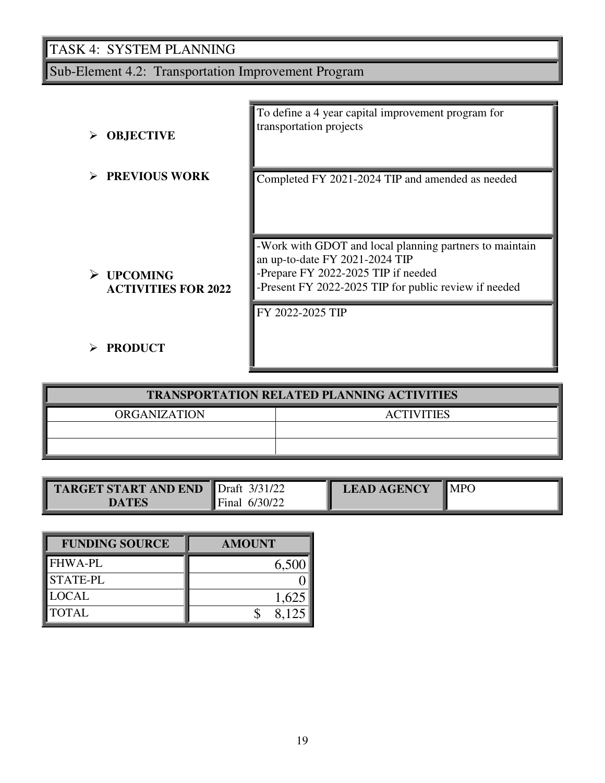Sub-Element 4.2: Transportation Improvement Program

| <b>OBJECTIVE</b>                              | To define a 4 year capital improvement program for<br>transportation projects                                                                                                             |
|-----------------------------------------------|-------------------------------------------------------------------------------------------------------------------------------------------------------------------------------------------|
| <b>PREVIOUS WORK</b>                          | Completed FY 2021-2024 TIP and amended as needed                                                                                                                                          |
| <b>UPCOMING</b><br><b>ACTIVITIES FOR 2022</b> | -Work with GDOT and local planning partners to maintain<br>an up-to-date FY 2021-2024 TIP<br>-Prepare FY 2022-2025 TIP if needed<br>-Present FY 2022-2025 TIP for public review if needed |
| <b>PRODUCT</b>                                | FY 2022-2025 TIP                                                                                                                                                                          |

| <b>TRANSPORTATION RELATED PLANNING ACTIVITIES</b> |  |  |  |  |
|---------------------------------------------------|--|--|--|--|
| <b>ORGANIZATION</b><br><b>ACTIVITIES</b>          |  |  |  |  |
|                                                   |  |  |  |  |
|                                                   |  |  |  |  |

| <b>TARGET START AND END</b> | $3/31/2^{\circ}$<br>$\blacksquare$ Draft | <b>LEAD AGENCY</b> | <b>MPC</b> |
|-----------------------------|------------------------------------------|--------------------|------------|
| <b>TES</b><br>DА            | 6/30/22<br>Final                         |                    |            |

| <b>FUNDING SOURCE</b> | <b>AMOUNT</b> |
|-----------------------|---------------|
| <b>FHWA-PL</b>        | 6,500         |
| <b>STATE-PL</b>       |               |
| <b>LOCAL</b>          | 1,625         |
| <b>TOTAL</b>          | 8.125         |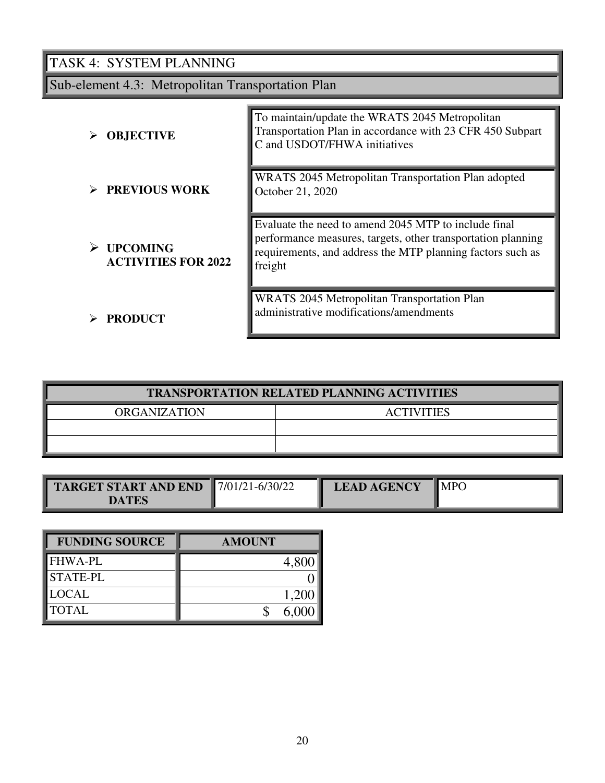Sub-element 4.3: Metropolitan Transportation Plan

| <b>OBJECTIVE</b>                              | To maintain/update the WRATS 2045 Metropolitan<br>Transportation Plan in accordance with 23 CFR 450 Subpart<br>C and USDOT/FHWA initiatives                                                   |
|-----------------------------------------------|-----------------------------------------------------------------------------------------------------------------------------------------------------------------------------------------------|
| <b>PREVIOUS WORK</b>                          | WRATS 2045 Metropolitan Transportation Plan adopted<br>October 21, 2020                                                                                                                       |
| <b>UPCOMING</b><br><b>ACTIVITIES FOR 2022</b> | Evaluate the need to amend 2045 MTP to include final<br>performance measures, targets, other transportation planning<br>requirements, and address the MTP planning factors such as<br>freight |
| <b>PRODUCT</b>                                | <b>WRATS</b> 2045 Metropolitan Transportation Plan<br>administrative modifications/amendments                                                                                                 |

| <b>TRANSPORTATION RELATED PLANNING ACTIVITIES</b> |  |  |  |  |  |
|---------------------------------------------------|--|--|--|--|--|
| <b>ORGANIZATION</b><br><b>ACTIVITIES</b>          |  |  |  |  |  |
|                                                   |  |  |  |  |  |
|                                                   |  |  |  |  |  |
|                                                   |  |  |  |  |  |

| <b>TARGET START AND END</b> | $17/01/21 - 6/30/22$ | <b>LEAD AGENCY</b> | <b>MPO</b> |
|-----------------------------|----------------------|--------------------|------------|
| <b>DATES</b>                |                      |                    |            |

| <b>FUNDING SOURCE</b> | <b>AMOUNT</b> |
|-----------------------|---------------|
| <b>FHWA-PL</b>        | 4,800         |
| <b>STATE-PL</b>       |               |
| <b>LOCAL</b>          | 1,200         |
| <b>TOTAL</b>          | 6.000         |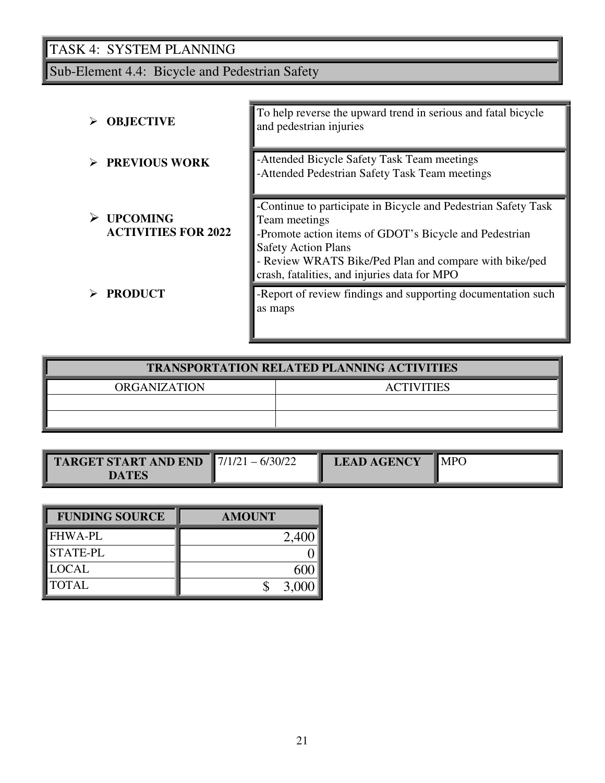Sub-Element 4.4: Bicycle and Pedestrian Safety

| <b>OBJECTIVE</b>                              | To help reverse the upward trend in serious and fatal bicycle<br>and pedestrian injuries                                                                                                                                                                                          |
|-----------------------------------------------|-----------------------------------------------------------------------------------------------------------------------------------------------------------------------------------------------------------------------------------------------------------------------------------|
| <b>PREVIOUS WORK</b>                          | -Attended Bicycle Safety Task Team meetings<br>-Attended Pedestrian Safety Task Team meetings                                                                                                                                                                                     |
| <b>UPCOMING</b><br><b>ACTIVITIES FOR 2022</b> | -Continue to participate in Bicycle and Pedestrian Safety Task<br>Team meetings<br>-Promote action items of GDOT's Bicycle and Pedestrian<br><b>Safety Action Plans</b><br>- Review WRATS Bike/Ped Plan and compare with bike/ped<br>crash, fatalities, and injuries data for MPO |
| <b>PRODUCT</b>                                | -Report of review findings and supporting documentation such<br>as maps                                                                                                                                                                                                           |

| <b>TRANSPORTATION RELATED PLANNING ACTIVITIES</b> |                   |  |  |
|---------------------------------------------------|-------------------|--|--|
| <b>ORGANIZATION</b>                               | <b>ACTIVITIES</b> |  |  |
|                                                   |                   |  |  |
|                                                   |                   |  |  |

| <b>TARGET START AND END</b> $\blacksquare$ 7/1/21 - 6/30/22 | <b>LEAD AGENCY</b> | $\blacksquare$ MPO |
|-------------------------------------------------------------|--------------------|--------------------|
| DATES                                                       |                    |                    |

| <b>FUNDING SOURCE</b> | <b>AMOUNT</b> |
|-----------------------|---------------|
| <b>FHWA-PL</b>        | 2,40          |
| <b>STATE-PL</b>       |               |
| <b>LOCAL</b>          |               |
| <b>TOTAL</b>          | 3,00          |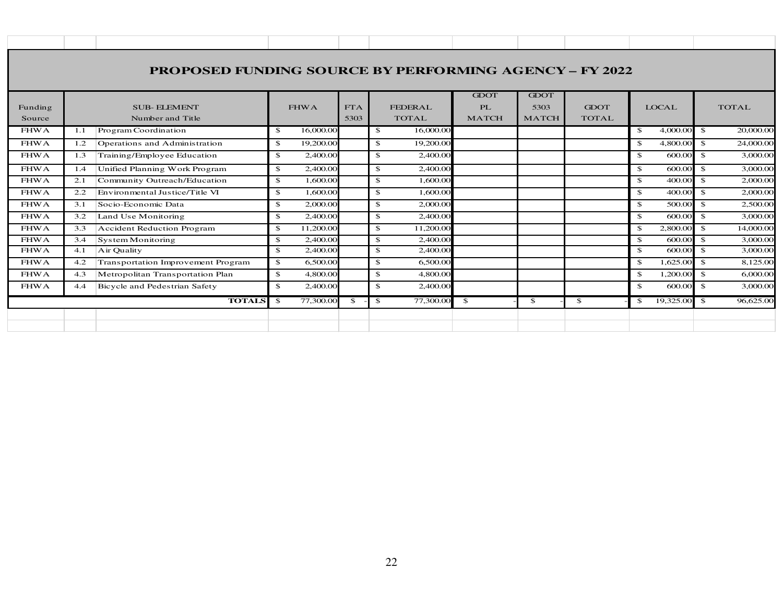| <b>PROPOSED FUNDING SOURCE BY PERFORMING AGENCY - FY 2022</b> |                                        |                                    |                |              |           |              |                                |                                          |                                     |                             |                    |           |              |           |
|---------------------------------------------------------------|----------------------------------------|------------------------------------|----------------|--------------|-----------|--------------|--------------------------------|------------------------------------------|-------------------------------------|-----------------------------|--------------------|-----------|--------------|-----------|
| Funding<br>Source                                             | <b>SUB-ELEMENT</b><br>Number and Title |                                    |                | <b>FHWA</b>  |           |              | <b>FEDERAL</b><br><b>TOTAL</b> | <b>GDOT</b><br><b>PL</b><br><b>MATCH</b> | <b>GDOT</b><br>5303<br><b>MATCH</b> | <b>GDOT</b><br><b>TOTAL</b> | <b>LOCAL</b>       |           | <b>TOTAL</b> |           |
| $FHW\overline{A}$                                             | 1.1                                    | Program Coordination               | \$             | 16,000.00    |           | \$           | 16,000.00                      |                                          |                                     |                             | -\$                | 4,000.00  | - \$         | 20,000.00 |
| <b>FHWA</b>                                                   | 1.2                                    | Operations and Administration      | $\mathfrak{S}$ | 19,200.00    |           | \$           | 19,200.00                      |                                          |                                     |                             | $\mathbf{s}$       | 4,800.00  | -\$          | 24,000.00 |
| <b>FHWA</b>                                                   | 1.3                                    | Training/Employee Education        | $\mathfrak{S}$ | 2,400.00     |           | \$           | 2,400.00                       |                                          |                                     |                             | $\mathbf{\hat{S}}$ | 600.00    | -\$          | 3,000.00  |
| <b>FHWA</b>                                                   | 1.4                                    | Unified Planning Work Program      | $\mathfrak{S}$ | 2,400.00     |           | \$           | 2,400.00                       |                                          |                                     |                             | $\mathbf{s}$       | 600.00    | -\$          | 3,000.00  |
| <b>FHWA</b>                                                   | 2.1                                    | Community Outreach/Education       | $\mathfrak{S}$ | 1,600.00     |           | \$           | 1,600.00                       |                                          |                                     |                             | $\mathbf{s}$       | 400.00    | - \$         | 2,000.00  |
| <b>FHWA</b>                                                   | 2.2                                    | Environmental Justice/Title VI     | $\mathbf{s}$   | 1,600.00     |           | \$           | 1,600.00                       |                                          |                                     |                             | \$                 | 400.00    | $\mathbf{s}$ | 2,000.00  |
| <b>FHWA</b>                                                   | 3.1                                    | Socio-Economic Data                | \$             | 2,000.00     |           | \$           | 2,000.00                       |                                          |                                     |                             | \$                 | 500.00    | -\$          | 2,500.00  |
| <b>FHWA</b>                                                   | 3.2                                    | Land Use Monitoring                | $\mathbf{s}$   | 2,400.00     |           | \$           | 2,400.00                       |                                          |                                     |                             | $\mathbf{s}$       | 600.00    | -\$          | 3,000.00  |
| <b>FHWA</b>                                                   | 3.3                                    | <b>Accident Reduction Program</b>  | $\mathfrak{S}$ | 11,200.00    |           | \$           | 11,200.00                      |                                          |                                     |                             | $\mathbf{s}$       | 2,800.00  | $\mathbf{s}$ | 14,000.00 |
| <b>FHWA</b>                                                   | 3.4                                    | System Monitoring                  | $\mathbf{s}$   | 2,400.00     |           | \$           | 2,400.00                       |                                          |                                     |                             | $\mathbf{s}$       | 600.00    | $\mathbf{s}$ | 3,000.00  |
| <b>FHWA</b>                                                   | 4.1                                    | Air Quality                        | $\mathbf{s}$   | 2,400.00     |           | \$           | 2,400.00                       |                                          |                                     |                             | \$                 | 600.00    | -\$          | 3,000.00  |
| <b>FHWA</b>                                                   | 4.2                                    | Transportation Improvement Program | $\mathbf{s}$   | 6,500.00     |           | \$           | 6,500.00                       |                                          |                                     |                             | $\mathbf{s}$       | 1,625.00  | -\$          | 8,125.00  |
| <b>FHWA</b>                                                   | 4.3                                    | Metropolitan Transportation Plan   | \$             | 4,800.00     |           | \$           | 4,800.00                       |                                          |                                     |                             | $\mathbf{s}$       | 1,200.00  | $\mathbf{s}$ | 6,000.00  |
| <b>FHWA</b>                                                   | 4.4                                    | Bicycle and Pedestrian Safety      | \$             | 2,400.00     |           | \$           | 2,400.00                       |                                          |                                     |                             | \$                 | 600.00    | -\$          | 3,000.00  |
|                                                               | - \$                                   | 77,300.00                          | \$             | $\mathbf{s}$ | 77,300.00 | $\mathbf{s}$ | $\mathbf{s}$                   | $\mathbf{s}$                             | -\$                                 | 19,325.00                   | $\mathbf{s}$       | 96,625.00 |              |           |
|                                                               |                                        |                                    |                |              |           |              |                                |                                          |                                     |                             |                    |           |              |           |